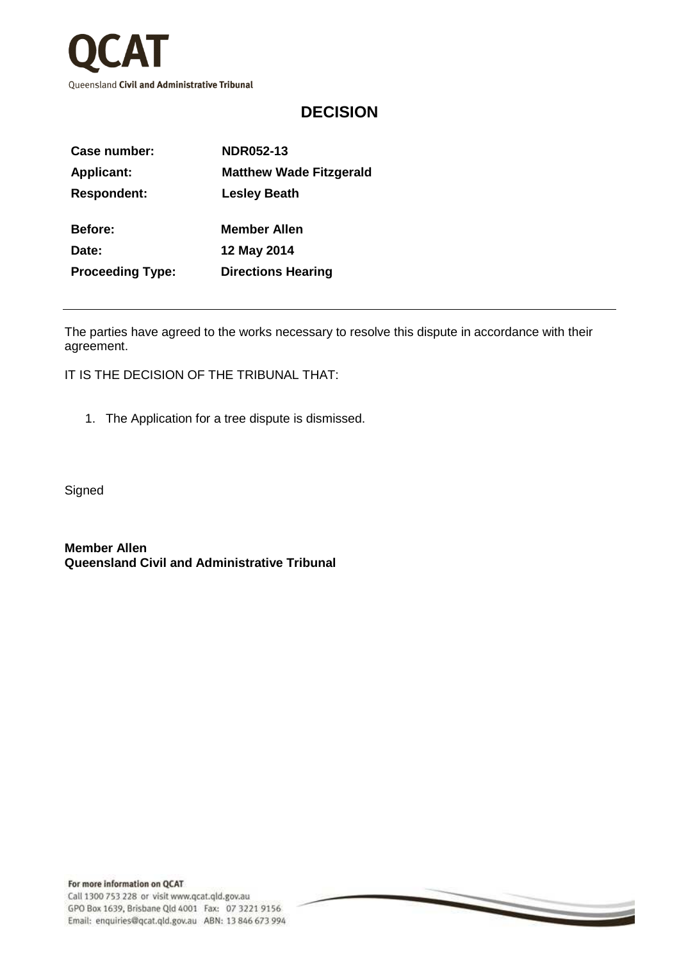

## **DECISION**

| Case number:            | <b>NDR052-13</b>               |
|-------------------------|--------------------------------|
| <b>Applicant:</b>       | <b>Matthew Wade Fitzgerald</b> |
| <b>Respondent:</b>      | <b>Lesley Beath</b>            |
|                         |                                |
| Before:                 | <b>Member Allen</b>            |
| Date:                   | 12 May 2014                    |
| <b>Proceeding Type:</b> | <b>Directions Hearing</b>      |
|                         |                                |

The parties have agreed to the works necessary to resolve this dispute in accordance with their agreement.

 $\overline{\phantom{0}}$ 

IT IS THE DECISION OF THE TRIBUNAL THAT:

1. The Application for a tree dispute is dismissed.

**Signed** 

**Member Allen Queensland Civil and Administrative Tribunal**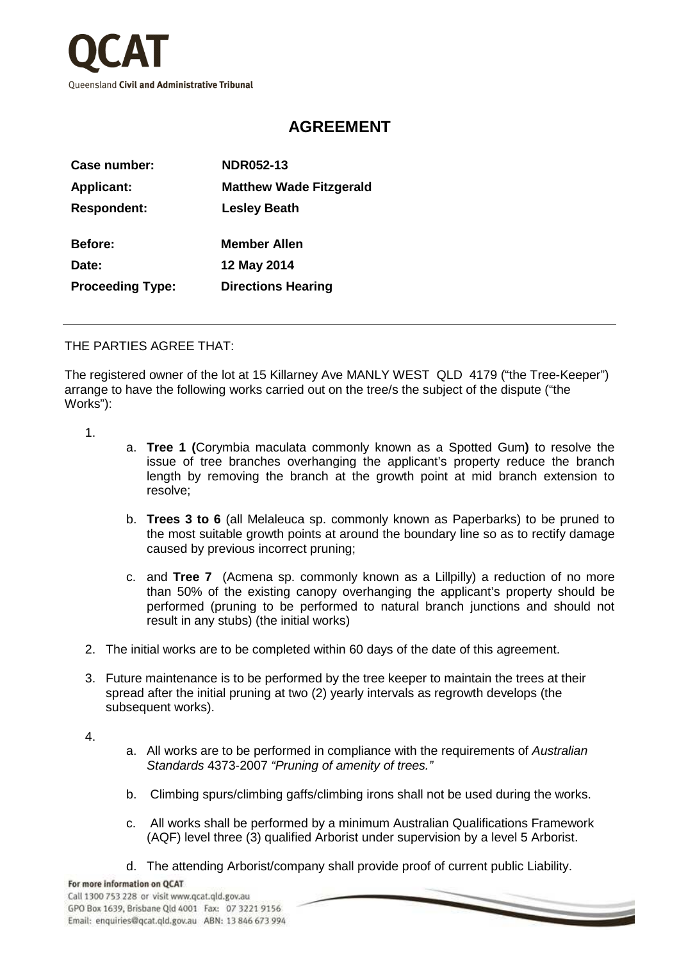

## **AGREEMENT**

| Case number:            | <b>NDR052-13</b>               |
|-------------------------|--------------------------------|
| <b>Applicant:</b>       | <b>Matthew Wade Fitzgerald</b> |
| <b>Respondent:</b>      | <b>Lesley Beath</b>            |
| <b>Before:</b>          | <b>Member Allen</b>            |
| Date:                   | 12 May 2014                    |
| <b>Proceeding Type:</b> | <b>Directions Hearing</b>      |
|                         |                                |

## THE PARTIES AGREE THAT:

The registered owner of the lot at 15 Killarney Ave MANLY WEST QLD 4179 ("the Tree-Keeper") arrange to have the following works carried out on the tree/s the subject of the dispute ("the Works"):

- 1.
- a. **Tree 1 (**Corymbia maculata commonly known as a Spotted Gum**)** to resolve the issue of tree branches overhanging the applicant's property reduce the branch length by removing the branch at the growth point at mid branch extension to resolve;
- b. **Trees 3 to 6** (all Melaleuca sp. commonly known as Paperbarks) to be pruned to the most suitable growth points at around the boundary line so as to rectify damage caused by previous incorrect pruning;
- c. and **Tree 7** (Acmena sp. commonly known as a Lillpilly) a reduction of no more than 50% of the existing canopy overhanging the applicant's property should be performed (pruning to be performed to natural branch junctions and should not result in any stubs) (the initial works)
- 2. The initial works are to be completed within 60 days of the date of this agreement.
- 3. Future maintenance is to be performed by the tree keeper to maintain the trees at their spread after the initial pruning at two (2) yearly intervals as regrowth develops (the subsequent works).

4.

- a. All works are to be performed in compliance with the requirements of Australian Standards 4373-2007 "Pruning of amenity of trees."
- b. Climbing spurs/climbing gaffs/climbing irons shall not be used during the works.
- c. All works shall be performed by a minimum Australian Qualifications Framework (AQF) level three (3) qualified Arborist under supervision by a level 5 Arborist.
- d. The attending Arborist/company shall provide proof of current public Liability.